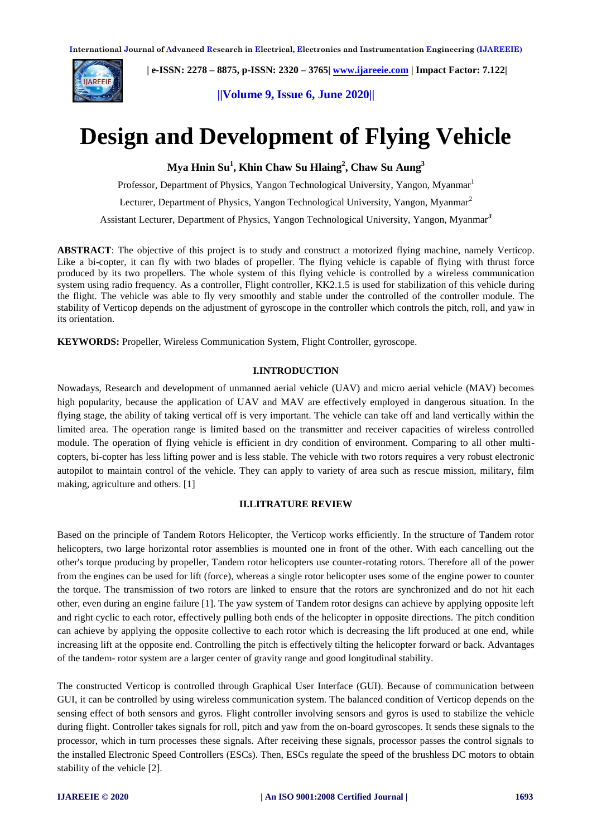

 **| e-ISSN: 2278 – 8875, p-ISSN: 2320 – 3765| [www.ijareeie.com](http://www.ijareeie.com/) | Impact Factor: 7.122|** 

**||Volume 9, Issue 6, June 2020||** 

# **Design and Development of Flying Vehicle**

**Mya Hnin Su<sup>1</sup> , Khin Chaw Su Hlaing<sup>2</sup> , Chaw Su Aung<sup>3</sup>**

Professor, Department of Physics, Yangon Technological University, Yangon, Myanmar<sup>1</sup>

Lecturer, Department of Physics, Yangon Technological University, Yangon, Myanmar<sup>2</sup>

Assistant Lecturer, Department of Physics, Yangon Technological University, Yangon, Myanmar*<sup>3</sup>*

**ABSTRACT**: The objective of this project is to study and construct a motorized flying machine, namely Verticop. Like a bi-copter, it can fly with two blades of propeller. The flying vehicle is capable of flying with thrust force produced by its two propellers. The whole system of this flying vehicle is controlled by a wireless communication system using radio frequency. As a controller, Flight controller, KK2.1.5 is used for stabilization of this vehicle during the flight. The vehicle was able to fly very smoothly and stable under the controlled of the controller module. The stability of Verticop depends on the adjustment of gyroscope in the controller which controls the pitch, roll, and yaw in its orientation.

**KEYWORDS:** Propeller, Wireless Communication System, Flight Controller, gyroscope.

## **I.INTRODUCTION**

Nowadays, Research and development of unmanned aerial vehicle (UAV) and micro aerial vehicle (MAV) becomes high popularity, because the application of UAV and MAV are effectively employed in dangerous situation. In the flying stage, the ability of taking vertical off is very important. The vehicle can take off and land vertically within the limited area. The operation range is limited based on the transmitter and receiver capacities of wireless controlled module. The operation of flying vehicle is efficient in dry condition of environment. Comparing to all other multicopters, bi-copter has less lifting power and is less stable. The vehicle with two rotors requires a very robust electronic autopilot to maintain control of the vehicle. They can apply to variety of area such as rescue mission, military, film making, agriculture and others. [1]

## **II.LITRATURE REVIEW**

Based on the principle of Tandem Rotors Helicopter, the Verticop works efficiently. In the structure of Tandem rotor helicopters, two large horizontal rotor assemblies is mounted one in front of the other. With each cancelling out the other's torque producing by propeller, Tandem rotor helicopters use counter-rotating rotors. Therefore all of the power from the engines can be used for lift (force), whereas a single rotor helicopter uses some of the engine power to counter the torque. The transmission of two rotors are linked to ensure that the rotors are synchronized and do not hit each other, even during an engine failure [1]. The yaw system of Tandem rotor designs can achieve by applying opposite left and right cyclic to each rotor, effectively pulling both ends of the helicopter in opposite directions. The pitch condition can achieve by applying the opposite collective to each rotor which is decreasing the lift produced at one end, while increasing lift at the opposite end. Controlling the pitch is effectively tilting the helicopter forward or back. Advantages of the tandem- rotor system are a larger center of gravity range and good longitudinal stability.

The constructed Verticop is controlled through Graphical User Interface (GUI). Because of communication between GUI, it can be controlled by using wireless communication system. The balanced condition of Verticop depends on the sensing effect of both sensors and gyros. Flight controller involving sensors and gyros is used to stabilize the vehicle during flight. Controller takes signals for roll, pitch and yaw from the on-board gyroscopes. It sends these signals to the processor, which in turn processes these signals. After receiving these signals, processor passes the control signals to the installed Electronic Speed Controllers (ESCs). Then, ESCs regulate the speed of the brushless DC motors to obtain stability of the vehicle [2].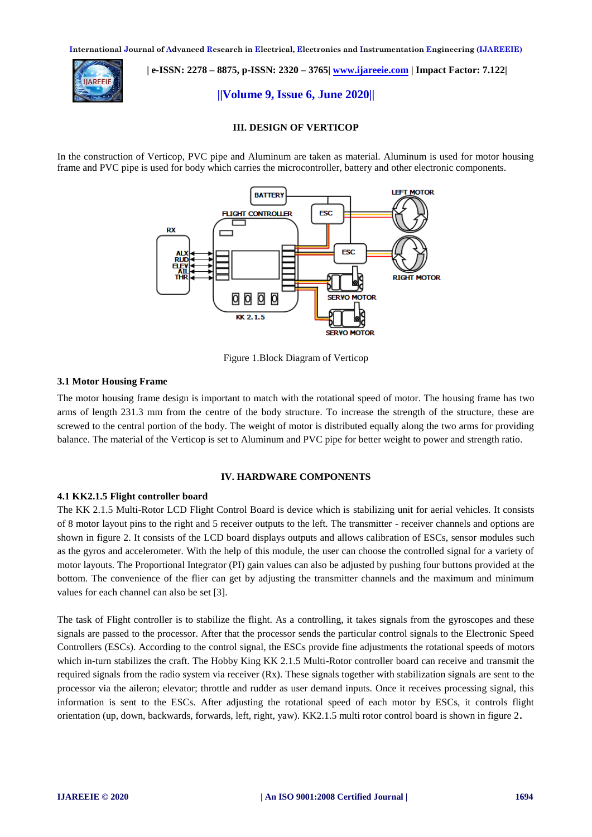

 **| e-ISSN: 2278 – 8875, p-ISSN: 2320 – 3765| [www.ijareeie.com](http://www.ijareeie.com/) | Impact Factor: 7.122|** 

**||Volume 9, Issue 6, June 2020||** 

## **III. DESIGN OF VERTICOP**

In the construction of Verticop, PVC pipe and Aluminum are taken as material. Aluminum is used for motor housing frame and PVC pipe is used for body which carries the microcontroller, battery and other electronic components.



Figure 1.Block Diagram of Verticop

## **3.1 Motor Housing Frame**

The motor housing frame design is important to match with the rotational speed of motor. The housing frame has two arms of length 231.3 mm from the centre of the body structure. To increase the strength of the structure, these are screwed to the central portion of the body. The weight of motor is distributed equally along the two arms for providing balance. The material of the Verticop is set to Aluminum and PVC pipe for better weight to power and strength ratio.

#### **IV. HARDWARE COMPONENTS**

## **4.1 KK2.1.5 Flight controller board**

The KK 2.1.5 Multi-Rotor LCD Flight Control Board is device which is stabilizing unit for aerial vehicles. It consists of 8 motor layout pins to the right and 5 receiver outputs to the left. The transmitter - receiver channels and options are shown in figure 2. It consists of the LCD board displays outputs and allows calibration of ESCs, sensor modules such as the gyros and accelerometer. With the help of this module, the user can choose the controlled signal for a variety of motor layouts. The Proportional Integrator (PI) gain values can also be adjusted by pushing four buttons provided at the bottom. The convenience of the flier can get by adjusting the transmitter channels and the maximum and minimum values for each channel can also be set [3].

The task of Flight controller is to stabilize the flight. As a controlling, it takes signals from the gyroscopes and these signals are passed to the processor. After that the processor sends the particular control signals to the Electronic Speed Controllers (ESCs). According to the control signal, the ESCs provide fine adjustments the rotational speeds of motors which in-turn stabilizes the craft. The Hobby King KK 2.1.5 Multi-Rotor controller board can receive and transmit the required signals from the radio system via receiver  $(Rx)$ . These signals together with stabilization signals are sent to the processor via the aileron; elevator; throttle and rudder as user demand inputs. Once it receives processing signal, this information is sent to the ESCs. After adjusting the rotational speed of each motor by ESCs, it controls flight orientation (up, down, backwards, forwards, left, right, yaw). KK2.1.5 multi rotor control board is shown in figure 2**.**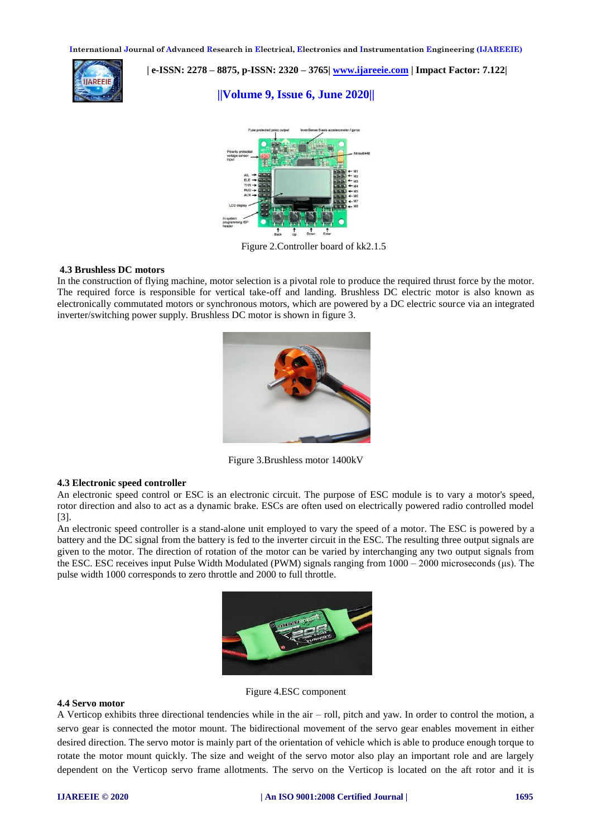

 **| e-ISSN: 2278 – 8875, p-ISSN: 2320 – 3765| [www.ijareeie.com](http://www.ijareeie.com/) | Impact Factor: 7.122|** 

# **||Volume 9, Issue 6, June 2020||**



Figure 2.Controller board of kk2.1.5

## **4.3 Brushless DC motors**

In the construction of flying machine, motor selection is a pivotal role to produce the required thrust force by the motor. The required force is responsible for vertical take-off and landing. Brushless DC electric motor is also known as electronically commutated motors or synchronous motors, which are powered by a DC electric source via an integrated inverter/switching power supply. Brushless DC motor is shown in figure 3.



Figure 3.Brushless motor 1400kV

#### **4.3 Electronic speed controller**

An electronic speed control or ESC is an electronic circuit. The purpose of ESC module is to vary a motor's speed, rotor direction and also to act as a dynamic brake. ESCs are often used on electrically powered radio controlled model [3].

An electronic speed controller is a stand-alone unit employed to vary the speed of a motor. The ESC is powered by a battery and the DC signal from the battery is fed to the inverter circuit in the ESC. The resulting three output signals are given to the motor. The direction of rotation of the motor can be varied by interchanging any two output signals from the ESC. ESC receives input Pulse Width Modulated (PWM) signals ranging from 1000 – 2000 microseconds (μs). The pulse width 1000 corresponds to zero throttle and 2000 to full throttle.



Figure 4.ESC component

#### **4.4 Servo motor**

A Verticop exhibits three directional tendencies while in the air – roll, pitch and yaw. In order to control the motion, a servo gear is connected the motor mount. The bidirectional movement of the servo gear enables movement in either desired direction. The servo motor is mainly part of the orientation of vehicle which is able to produce enough torque to rotate the motor mount quickly. The size and weight of the servo motor also play an important role and are largely dependent on the Verticop servo frame allotments. The servo on the Verticop is located on the aft rotor and it is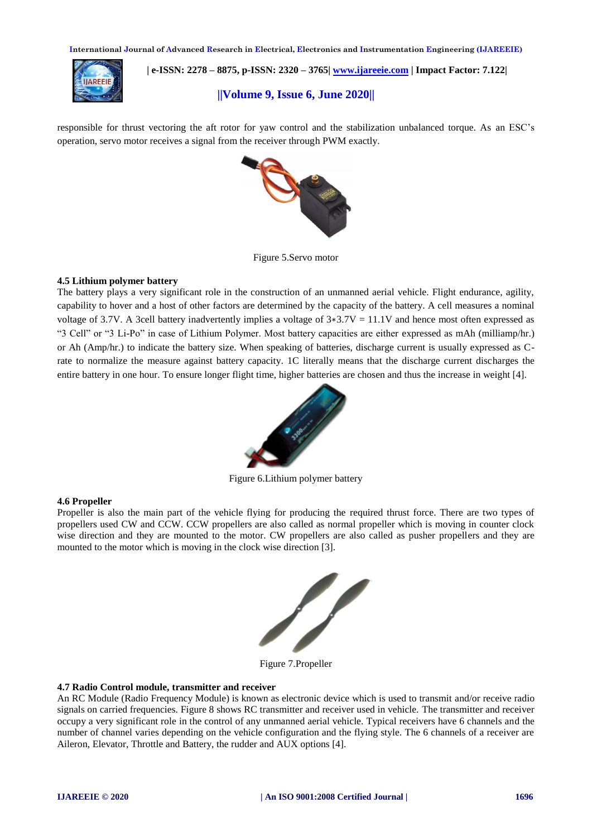

 **| e-ISSN: 2278 – 8875, p-ISSN: 2320 – 3765| [www.ijareeie.com](http://www.ijareeie.com/) | Impact Factor: 7.122|** 

# **||Volume 9, Issue 6, June 2020||**

responsible for thrust vectoring the aft rotor for yaw control and the stabilization unbalanced torque. As an ESC's operation, servo motor receives a signal from the receiver through PWM exactly.



Figure 5.Servo motor

## **4.5 Lithium polymer battery**

The battery plays a very significant role in the construction of an unmanned aerial vehicle. Flight endurance, agility, capability to hover and a host of other factors are determined by the capacity of the battery. A cell measures a nominal voltage of 3.7V. A 3cell battery inadvertently implies a voltage of  $3*3.7V = 11.1V$  and hence most often expressed as "3 Cell" or "3 Li-Po" in case of Lithium Polymer. Most battery capacities are either expressed as mAh (milliamp/hr.) or Ah (Amp/hr.) to indicate the battery size. When speaking of batteries, discharge current is usually expressed as Crate to normalize the measure against battery capacity. 1C literally means that the discharge current discharges the entire battery in one hour. To ensure longer flight time, higher batteries are chosen and thus the increase in weight [4].



Figure 6.Lithium polymer battery

#### **4.6 Propeller**

Propeller is also the main part of the vehicle flying for producing the required thrust force. There are two types of propellers used CW and CCW. CCW propellers are also called as normal propeller which is moving in counter clock wise direction and they are mounted to the motor. CW propellers are also called as pusher propellers and they are mounted to the motor which is moving in the clock wise direction [3].



Figure 7.Propeller

#### **4.7 Radio Control module, transmitter and receiver**

An RC Module (Radio Frequency Module) is known as electronic device which is used to transmit and/or receive radio signals on carried frequencies. Figure 8 shows RC transmitter and receiver used in vehicle. The transmitter and receiver occupy a very significant role in the control of any unmanned aerial vehicle. Typical receivers have 6 channels and the number of channel varies depending on the vehicle configuration and the flying style. The 6 channels of a receiver are Aileron, Elevator, Throttle and Battery, the rudder and AUX options [4].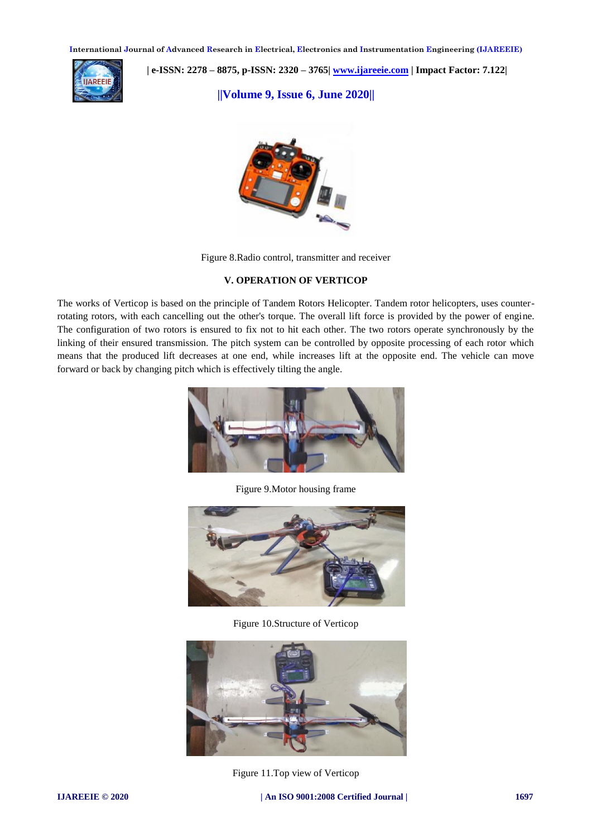

 **| e-ISSN: 2278 – 8875, p-ISSN: 2320 – 3765| [www.ijareeie.com](http://www.ijareeie.com/) | Impact Factor: 7.122|** 

**||Volume 9, Issue 6, June 2020||** 



Figure 8.Radio control, transmitter and receiver

# **V. OPERATION OF VERTICOP**

The works of Verticop is based on the principle of Tandem Rotors Helicopter. Tandem rotor helicopters, uses counterrotating rotors, with each cancelling out the other's torque. The overall lift force is provided by the power of engine. The configuration of two rotors is ensured to fix not to hit each other. The two rotors operate synchronously by the linking of their ensured transmission. The pitch system can be controlled by opposite processing of each rotor which means that the produced lift decreases at one end, while increases lift at the opposite end. The vehicle can move forward or back by changing pitch which is effectively tilting the angle.



Figure 9.Motor housing frame



Figure 10.Structure of Verticop



Figure 11.Top view of Verticop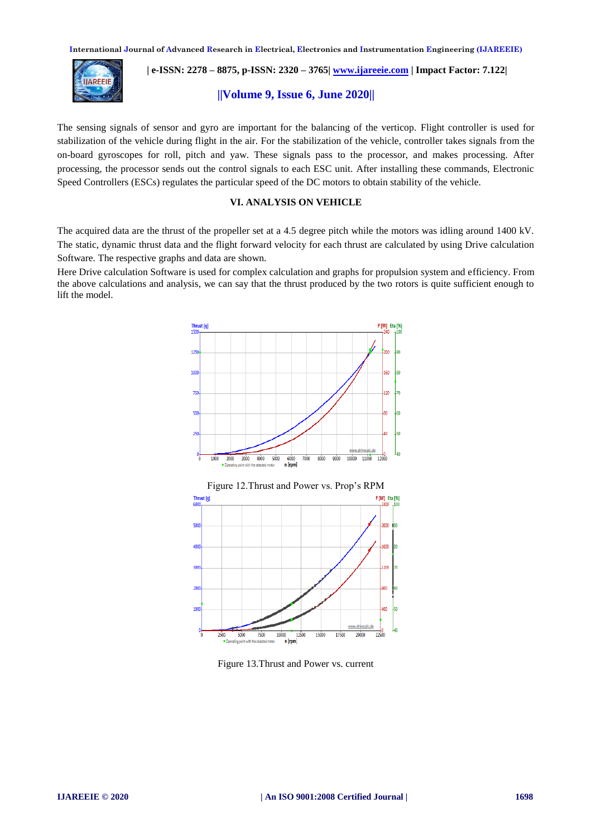

 **| e-ISSN: 2278 – 8875, p-ISSN: 2320 – 3765| [www.ijareeie.com](http://www.ijareeie.com/) | Impact Factor: 7.122|** 

# **||Volume 9, Issue 6, June 2020||**

The sensing signals of sensor and gyro are important for the balancing of the verticop. Flight controller is used for stabilization of the vehicle during flight in the air. For the stabilization of the vehicle, controller takes signals from the on-board gyroscopes for roll, pitch and yaw. These signals pass to the processor, and makes processing. After processing, the processor sends out the control signals to each ESC unit. After installing these commands, Electronic Speed Controllers (ESCs) regulates the particular speed of the DC motors to obtain stability of the vehicle.

# **VI. ANALYSIS ON VEHICLE**

The acquired data are the thrust of the propeller set at a 4.5 degree pitch while the motors was idling around 1400 kV. The static, dynamic thrust data and the flight forward velocity for each thrust are calculated by using Drive calculation Software. The respective graphs and data are shown.

Here Drive calculation Software is used for complex calculation and graphs for propulsion system and efficiency. From the above calculations and analysis, we can say that the thrust produced by the two rotors is quite sufficient enough to lift the model.





Figure 13.Thrust and Power vs. current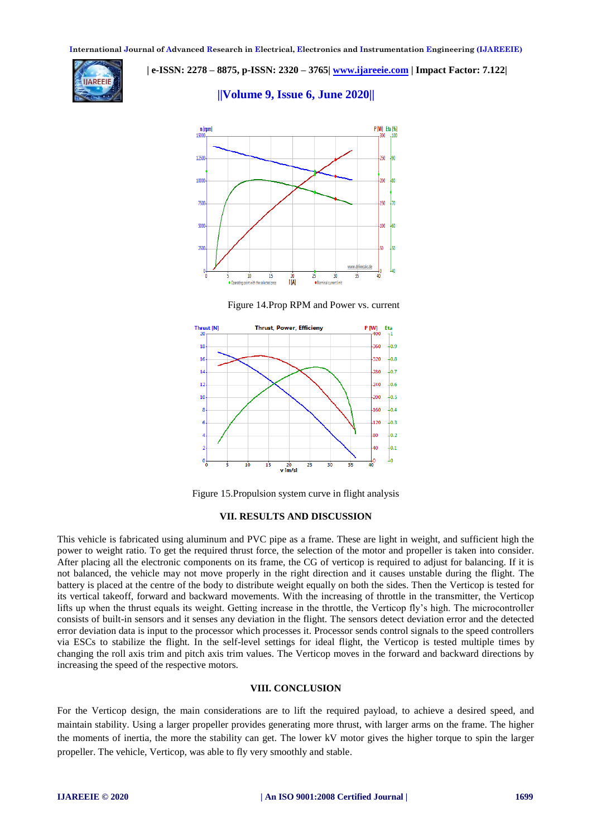

 **| e-ISSN: 2278 – 8875, p-ISSN: 2320 – 3765| [www.ijareeie.com](http://www.ijareeie.com/) | Impact Factor: 7.122|** 

# **||Volume 9, Issue 6, June 2020||**



Figure 14.Prop RPM and Power vs. current



Figure 15.Propulsion system curve in flight analysis

## **VII. RESULTS AND DISCUSSION**

This vehicle is fabricated using aluminum and PVC pipe as a frame. These are light in weight, and sufficient high the power to weight ratio. To get the required thrust force, the selection of the motor and propeller is taken into consider. After placing all the electronic components on its frame, the CG of verticop is required to adjust for balancing. If it is not balanced, the vehicle may not move properly in the right direction and it causes unstable during the flight. The battery is placed at the centre of the body to distribute weight equally on both the sides. Then the Verticop is tested for its vertical takeoff, forward and backward movements. With the increasing of throttle in the transmitter, the Verticop lifts up when the thrust equals its weight. Getting increase in the throttle, the Verticop fly's high. The microcontroller consists of built-in sensors and it senses any deviation in the flight. The sensors detect deviation error and the detected error deviation data is input to the processor which processes it. Processor sends control signals to the speed controllers via ESCs to stabilize the flight. In the self-level settings for ideal flight, the Verticop is tested multiple times by changing the roll axis trim and pitch axis trim values. The Verticop moves in the forward and backward directions by increasing the speed of the respective motors.

#### **VIII. CONCLUSION**

For the Verticop design, the main considerations are to lift the required payload, to achieve a desired speed, and maintain stability. Using a larger propeller provides generating more thrust, with larger arms on the frame. The higher the moments of inertia, the more the stability can get. The lower kV motor gives the higher torque to spin the larger propeller. The vehicle, Verticop, was able to fly very smoothly and stable.